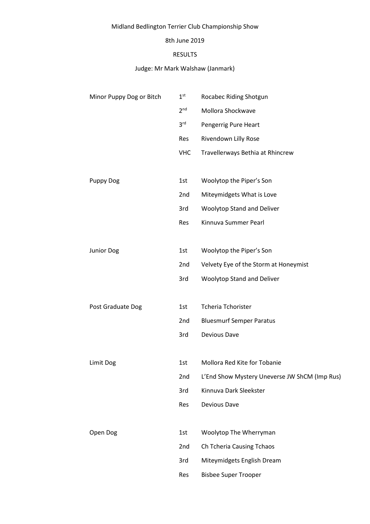# Midland Bedlington Terrier Club Championship Show

#### 8th June 2019

#### RESULTS

## Judge: Mr Mark Walshaw (Janmark)

| Minor Puppy Dog or Bitch | 1 <sup>st</sup> | Rocabec Riding Shotgun                        |  |
|--------------------------|-----------------|-----------------------------------------------|--|
|                          | 2 <sup>nd</sup> | Mollora Shockwave                             |  |
|                          | 3 <sup>rd</sup> | Pengerrig Pure Heart                          |  |
|                          | Res             | Rivendown Lilly Rose                          |  |
|                          | <b>VHC</b>      | Travellerways Bethia at Rhincrew              |  |
|                          |                 |                                               |  |
| <b>Puppy Dog</b>         | 1st             | Woolytop the Piper's Son                      |  |
|                          | 2nd             | Miteymidgets What is Love                     |  |
|                          | 3rd             | <b>Woolytop Stand and Deliver</b>             |  |
|                          | Res             | Kinnuva Summer Pearl                          |  |
|                          |                 |                                               |  |
| Junior Dog               | 1st             | Woolytop the Piper's Son                      |  |
|                          | 2nd             | Velvety Eye of the Storm at Honeymist         |  |
|                          | 3rd             | <b>Woolytop Stand and Deliver</b>             |  |
|                          |                 |                                               |  |
| Post Graduate Dog        | 1st             | <b>Tcheria Tchorister</b>                     |  |
|                          | 2nd             | <b>Bluesmurf Semper Paratus</b>               |  |
|                          | 3rd             | Devious Dave                                  |  |
|                          |                 |                                               |  |
| Limit Dog                | 1st             | Mollora Red Kite for Tobanie                  |  |
|                          | 2nd             | L'End Show Mystery Uneverse JW ShCM (Imp Rus) |  |
|                          | 3rd             | Kinnuva Dark Sleekster                        |  |
|                          | Res             | Devious Dave                                  |  |
|                          |                 |                                               |  |
| Open Dog                 | 1st             | Woolytop The Wherryman                        |  |
|                          | 2nd             | Ch Tcheria Causing Tchaos                     |  |
|                          | 3rd             | Miteymidgets English Dream                    |  |
|                          | Res             | <b>Bisbee Super Trooper</b>                   |  |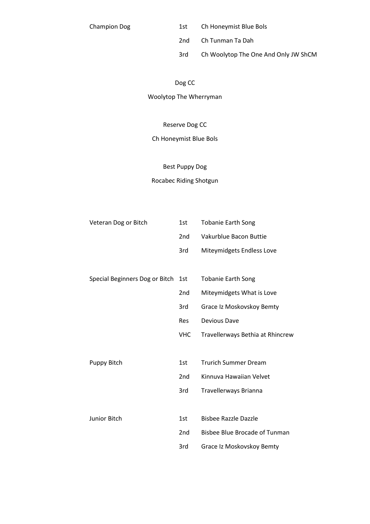Champion Dog 1st Ch Honeymist Blue Bols

2nd Ch Tunman Ta Dah

3rd Ch Woolytop The One And Only JW ShCM

# Dog CC

Woolytop The Wherryman

#### Reserve Dog CC

### Ch Honeymist Blue Bols

#### Best Puppy Dog

## Rocabec Riding Shotgun

| Veteran Dog or Bitch           | 1st             | <b>Tobanie Earth Song</b>            |
|--------------------------------|-----------------|--------------------------------------|
|                                | 2 <sub>nd</sub> | Vakurblue Bacon Buttie               |
|                                | 3rd             | Miteymidgets Endless Love            |
|                                |                 |                                      |
| Special Beginners Dog or Bitch | 1st             | <b>Tobanie Earth Song</b>            |
|                                | 2nd             | Miteymidgets What is Love            |
|                                | 3rd             | Grace Iz Moskovskoy Bemty            |
|                                | <b>Res</b>      | <b>Devious Dave</b>                  |
|                                | <b>VHC</b>      | Travellerways Bethia at Rhincrew     |
|                                |                 |                                      |
| Puppy Bitch                    | 1st             | <b>Trurich Summer Dream</b>          |
|                                | 2 <sub>nd</sub> | Kinnuva Hawaiian Velvet              |
|                                | 3rd             | Travellerways Brianna                |
|                                |                 |                                      |
| <b>Junior Bitch</b>            | 1st             | <b>Bisbee Razzle Dazzle</b>          |
|                                | 2nd             | <b>Bisbee Blue Brocade of Tunman</b> |
|                                | 3rd             | Grace Iz Moskovskoy Bemty            |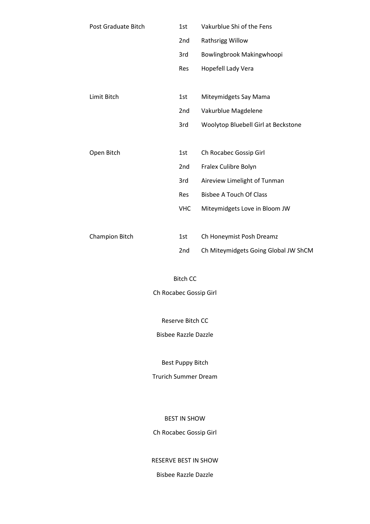| Post Graduate Bitch | 1st             | Vakurblue Shi of the Fens            |
|---------------------|-----------------|--------------------------------------|
|                     | 2 <sub>nd</sub> | Rathsrigg Willow                     |
|                     | 3rd             | Bowlingbrook Makingwhoopi            |
|                     | Res             | Hopefell Lady Vera                   |
|                     |                 |                                      |
| Limit Bitch         | 1st             | Miteymidgets Say Mama                |
|                     | 2nd             | Vakurblue Magdelene                  |
|                     | 3rd             | Woolytop Bluebell Girl at Beckstone  |
|                     |                 |                                      |
| Open Bitch          | 1st             | Ch Rocabec Gossip Girl               |
|                     | 2nd             | Fralex Culibre Bolyn                 |
|                     | 3rd             | Aireview Limelight of Tunman         |
|                     | Res             | <b>Bisbee A Touch Of Class</b>       |
|                     | <b>VHC</b>      | Miteymidgets Love in Bloom JW        |
|                     |                 |                                      |
| Champion Bitch      | 1st             | Ch Honeymist Posh Dreamz             |
|                     | 2nd             | Ch Miteymidgets Going Global JW ShCM |

Bitch CC Ch Rocabec Gossip Girl

Reserve Bitch CC

Bisbee Razzle Dazzle

Best Puppy Bitch

Trurich Summer Dream

BEST IN SHOW

Ch Rocabec Gossip Girl

RESERVE BEST IN SHOW

Bisbee Razzle Dazzle